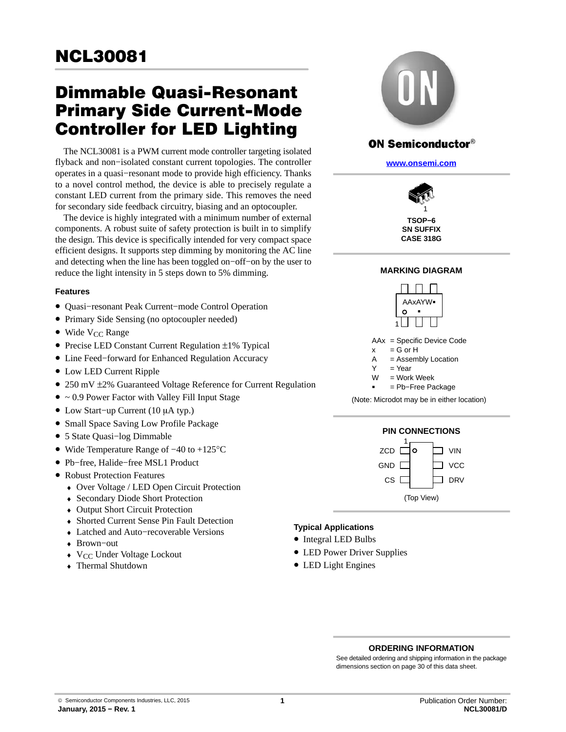# Dimmable Quasi-Resonant Primary Side Current-Mode Controller for LED Lighting

The NCL30081 is a PWM current mode controller targeting isolated flyback and non−isolated constant current topologies. The controller operates in a quasi−resonant mode to provide high efficiency. Thanks to a novel control method, the device is able to precisely regulate a constant LED current from the primary side. This removes the need for secondary side feedback circuitry, biasing and an optocoupler.

The device is highly integrated with a minimum number of external components. A robust suite of safety protection is built in to simplify the design. This device is specifically intended for very compact space efficient designs. It supports step dimming by monitoring the AC line and detecting when the line has been toggled on−off−on by the user to reduce the light intensity in 5 steps down to 5% dimming.

#### **Features**

- Quasi−resonant Peak Current−mode Control Operation
- Primary Side Sensing (no optocoupler needed)
- Wide  $V_{CC}$  Range
- Precise LED Constant Current Regulation ±1% Typical
- Line Feed−forward for Enhanced Regulation Accuracy
- Low LED Current Ripple
- 250 mV  $\pm$ 2% Guaranteed Voltage Reference for Current Regulation
- $\bullet \sim 0.9$  Power Factor with Valley Fill Input Stage
- $\bullet$  Low Start-up Current (10 μA typ.)
- Small Space Saving Low Profile Package
- 5 State Quasi−log Dimmable
- Wide Temperature Range of −40 to +125°C
- Pb−free, Halide−free MSL1 Product
- Robust Protection Features
	- ♦ Over Voltage / LED Open Circuit Protection
	- ♦ Secondary Diode Short Protection
	- ♦ Output Short Circuit Protection
	- ♦ Shorted Current Sense Pin Fault Detection
	- ♦ Latched and Auto−recoverable Versions
	- ♦ Brown−out
	- $\blacklozenge$  V<sub>CC</sub> Under Voltage Lockout
	- ♦ Thermal Shutdown



### **ON Semiconductor®**

**[www.onsemi.com]( http://www.onsemi.com/)**



#### **MARKING DIAGRAM**



AAx = Specific Device Code

 $x = G$  or H

- $A =$  Assembly Location
- $Y = Year$
- = Work Week W
- = Pb−Free Package

(Note: Microdot may be in either location)





#### **Typical Applications**

- Integral LED Bulbs
- LED Power Driver Supplies
- LED Light Engines

#### **ORDERING INFORMATION**

See detailed ordering and shipping information in the package dimensions section on page [30](#page-29-0) of this data sheet.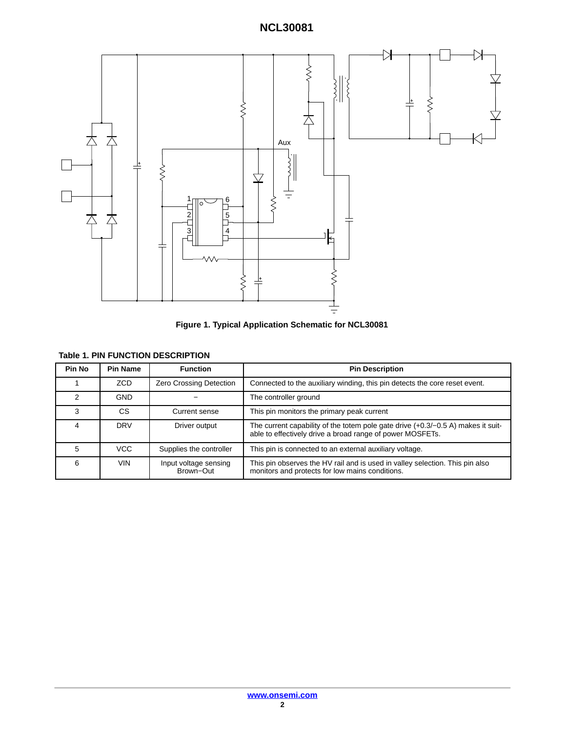



|  |  |  | <b>Table 1. PIN FUNCTION DESCRIPTION</b> |  |
|--|--|--|------------------------------------------|--|
|--|--|--|------------------------------------------|--|

| Pin No | <b>Pin Name</b> | <b>Function</b>                    | <b>Pin Description</b>                                                                                                                          |
|--------|-----------------|------------------------------------|-------------------------------------------------------------------------------------------------------------------------------------------------|
|        | ZCD             | Zero Crossing Detection            | Connected to the auxiliary winding, this pin detects the core reset event.                                                                      |
| 2      | <b>GND</b>      |                                    | The controller ground                                                                                                                           |
|        | CS              | Current sense                      | This pin monitors the primary peak current                                                                                                      |
|        | <b>DRV</b>      | Driver output                      | The current capability of the totem pole gate drive $(+0.3/-0.5 A)$ makes it suit-<br>able to effectively drive a broad range of power MOSFETs. |
| 5      | VCC             | Supplies the controller            | This pin is connected to an external auxiliary voltage.                                                                                         |
| 6      | VIN             | Input voltage sensing<br>Brown-Out | This pin observes the HV rail and is used in valley selection. This pin also<br>monitors and protects for low mains conditions.                 |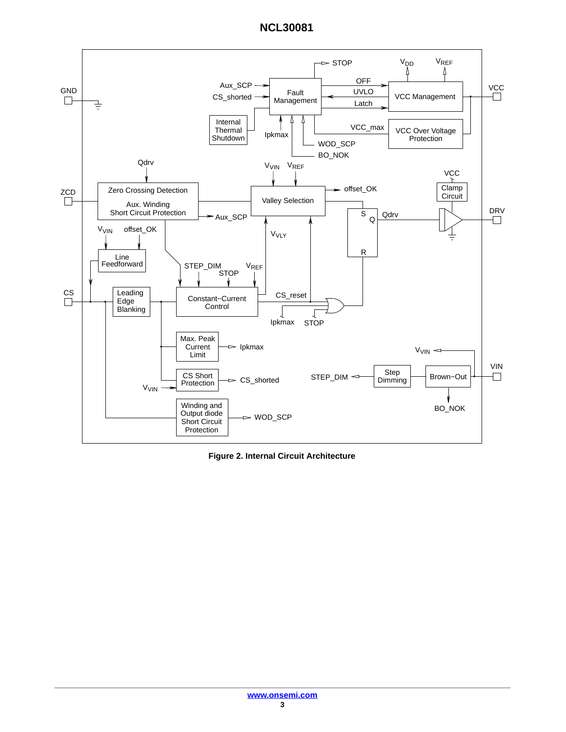

**Figure 2. Internal Circuit Architecture**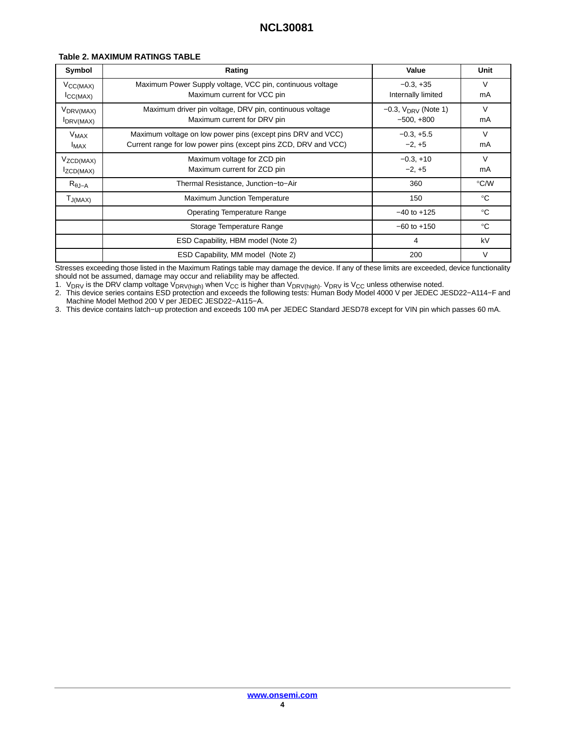| Symbol                              | Rating                                                                                                                         | Value                                       | Unit         |
|-------------------------------------|--------------------------------------------------------------------------------------------------------------------------------|---------------------------------------------|--------------|
| $V_{\text{CC}(MAX)}$<br>ICC(MAX)    | Maximum Power Supply voltage, VCC pin, continuous voltage<br>Maximum current for VCC pin                                       | $-0.3, +35$<br>Internally limited           | V<br>mA      |
| V <sub>DRV(MAX)</sub><br>IDRV(MAX)  | Maximum driver pin voltage, DRV pin, continuous voltage<br>Maximum current for DRV pin                                         | $-0.3$ , $V_{DRV}$ (Note 1)<br>$-500, +800$ | $\vee$<br>mA |
| <b>V<sub>MAX</sub></b><br>$I_{MAX}$ | Maximum voltage on low power pins (except pins DRV and VCC)<br>Current range for low power pins (except pins ZCD, DRV and VCC) | $-0.3, +5.5$<br>$-2, +5$                    | V<br>mA      |
| $V_{ZCD(MAX)}$<br>IZCD(MAX)         | Maximum voltage for ZCD pin<br>Maximum current for ZCD pin                                                                     | $-0.3, +10$<br>$-2, +5$                     | V<br>mA      |
| $R_{\theta J-A}$                    | Thermal Resistance, Junction-to-Air                                                                                            | 360                                         | °C/W         |
| $T_{J(MAX)}$                        | Maximum Junction Temperature                                                                                                   | 150                                         | $^{\circ}C$  |
|                                     | <b>Operating Temperature Range</b>                                                                                             | $-40$ to $+125$                             | $^{\circ}C$  |
|                                     | Storage Temperature Range                                                                                                      | $-60$ to $+150$                             | $^{\circ}C$  |
|                                     | ESD Capability, HBM model (Note 2)                                                                                             | 4                                           | kV           |
|                                     | ESD Capability, MM model (Note 2)                                                                                              | 200                                         | V            |

Stresses exceeding those listed in the Maximum Ratings table may damage the device. If any of these limits are exceeded, device functionality should not be assumed, damage may occur and reliability may be affected.

1. V<sub>DRV</sub> is the DRV clamp voltage V<sub>DRV(high)</sub> when V<sub>CC</sub> is higher than V<sub>DRV(high)</sub>. V<sub>DRV</sub> is V<sub>CC</sub> unless otherwise noted.<br>2. This device series contains ESD protection and exceeds the following tests: Human Body Mo Machine Model Method 200 V per JEDEC JESD22−A115−A.

3. This device contains latch−up protection and exceeds 100 mA per JEDEC Standard JESD78 except for VIN pin which passes 60 mA.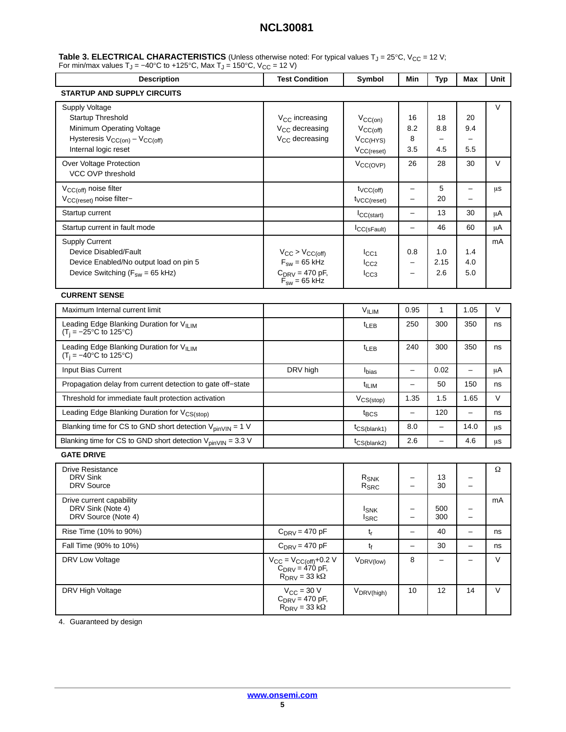<span id="page-4-0"></span>

| Table 3. ELECTRICAL CHARACTERISTICS (Unless otherwise noted: For typical values $T_J = 25^{\circ}C$ , $V_{CC} = 12 V$ ; |  |
|-------------------------------------------------------------------------------------------------------------------------|--|
| For min/max values T <sub>J</sub> = -40°C to +125°C, Max T <sub>J</sub> = 150°C, V <sub>CC</sub> = 12 V)                |  |

| <b>Description</b>                                                                                                                | <b>Test Condition</b>                                                                     | Symbol                                                                   | Min                                           | <b>Typ</b>               | Max                           | Unit   |
|-----------------------------------------------------------------------------------------------------------------------------------|-------------------------------------------------------------------------------------------|--------------------------------------------------------------------------|-----------------------------------------------|--------------------------|-------------------------------|--------|
| STARTUP AND SUPPLY CIRCUITS                                                                                                       |                                                                                           |                                                                          |                                               |                          |                               |        |
| Supply Voltage<br>Startup Threshold<br>Minimum Operating Voltage<br>Hysteresis $V_{CC(on)} - V_{CC(off)}$<br>Internal logic reset | V <sub>CC</sub> increasing<br>V <sub>CC</sub> decreasing<br>V <sub>CC</sub> decreasing    | $V_{CC(on)}$<br>$V_{CC(off)}$<br>V <sub>CC(HYS)</sub><br>$V_{CC(reset)}$ | 16<br>8.2<br>8<br>3.5                         | 18<br>8.8<br>4.5         | 20<br>9.4<br>$5.5\,$          | V      |
| Over Voltage Protection<br>VCC OVP threshold                                                                                      |                                                                                           | $V_{CC(OVP)}$                                                            | 26                                            | 28                       | 30                            | V      |
| V <sub>CC(off)</sub> noise filter<br>V <sub>CC(reset)</sub> noise filter-                                                         |                                                                                           | $t_{VCC(off)}$<br>$t_{VCC(reset)}$                                       | $\overline{\phantom{0}}$<br>$\qquad \qquad -$ | 5<br>20                  | -<br>$\overline{\phantom{m}}$ | μs     |
| Startup current                                                                                                                   |                                                                                           | ICC(stat)                                                                | $\qquad \qquad -$                             | 13                       | 30                            | μA     |
| Startup current in fault mode                                                                                                     |                                                                                           | ICC(sFault)                                                              | $\qquad \qquad -$                             | 46                       | 60                            | μA     |
| <b>Supply Current</b><br>Device Disabled/Fault<br>Device Enabled/No output load on pin 5<br>Device Switching ( $F_{sw}$ = 65 kHz) | $V_{CC}$ > $V_{CC(off)}$<br>$F_{sw}$ = 65 kHz<br>$C_{DRV} = 470$ pF,<br>$F_{sw}$ = 65 kHz | $I_{\rm CC1}$<br>$I_{CC2}$<br>$I_{CC3}$                                  | 0.8<br>$\overline{\phantom{0}}$               | 1.0<br>2.15<br>2.6       | 1.4<br>4.0<br>5.0             | mA     |
| <b>CURRENT SENSE</b>                                                                                                              |                                                                                           |                                                                          |                                               |                          |                               |        |
| Maximum Internal current limit                                                                                                    |                                                                                           | VILIM                                                                    | 0.95                                          | $\mathbf{1}$             | 1.05                          | $\vee$ |
| Leading Edge Blanking Duration for VII IM<br>$(T_i = -25^{\circ}C \text{ to } 125^{\circ}C)$                                      |                                                                                           | $t_{LEB}$                                                                | 250                                           | 300                      | 350                           | ns     |
| Leading Edge Blanking Duration for VILIM<br>$(T_i = -40^{\circ}C \text{ to } 125^{\circ}C)$                                       |                                                                                           | t <sub>LEB</sub>                                                         | 240                                           | 300                      | 350                           | ns     |
| Input Bias Current                                                                                                                | DRV high                                                                                  | $I_{bias}$                                                               | $\qquad \qquad -$                             | 0.02                     | $\overline{\phantom{0}}$      | μA     |
| Propagation delay from current detection to gate off-state                                                                        |                                                                                           | t <sub>ILIM</sub>                                                        |                                               | 50                       | 150                           | ns     |
| Threshold for immediate fault protection activation                                                                               |                                                                                           | $V_{CS(stop)}$                                                           | 1.35                                          | 1.5                      | 1.65                          | V      |
| Leading Edge Blanking Duration for V <sub>CS(stop)</sub>                                                                          |                                                                                           | $t_{\text{BCS}}$                                                         | -                                             | 120                      | -                             | ns     |
| Blanking time for CS to GND short detection $V_{pinVIN} = 1$ V                                                                    |                                                                                           | $t_{CS(blank1)}$                                                         | 8.0                                           | $\overline{\phantom{0}}$ | 14.0                          | μS     |
| Blanking time for CS to GND short detection $V_{\text{pinVIN}} = 3.3$ V                                                           |                                                                                           | $t_{CS(blank2)}$                                                         | 2.6                                           | $\overline{\phantom{0}}$ | 4.6                           | μs     |
| <b>GATE DRIVE</b>                                                                                                                 |                                                                                           |                                                                          |                                               |                          |                               |        |
| <b>Drive Resistance</b><br>DRV Sink<br><b>DRV</b> Source                                                                          |                                                                                           | $R_{SNK}$<br>$R_{SRC}$                                                   |                                               | 13<br>30                 |                               | Ω      |
| Drive current capability<br>DRV Sink (Note 4)<br>DRV Source (Note 4)                                                              |                                                                                           | <b>I</b> <sub>SNK</sub><br><b>I</b> <sub>SRC</sub>                       | $\qquad \qquad -$<br>-                        | 500<br>300               | -<br>$\overline{\phantom{0}}$ | mA     |
| Rise Time (10% to 90%)                                                                                                            | $C_{DRV} = 470$ pF                                                                        | $t_{r}$                                                                  | $\overline{\phantom{0}}$                      | 40                       | $\qquad \qquad -$             | ns     |
| Fall Time (90% to 10%)                                                                                                            | $C_{DRV} = 470$ pF                                                                        | tf                                                                       | $\overline{\phantom{m}}$                      | 30                       | $\qquad \qquad -$             | ns     |
| DRV Low Voltage                                                                                                                   | $V_{CC} = V_{CC(off)} + 0.2 V$<br>$C_{DRV} = 470 \text{ pF}$<br>$R_{DRV} = 33 k\Omega$    | V <sub>DRV(low)</sub>                                                    | 8                                             |                          | —                             | V      |
| DRV High Voltage                                                                                                                  | $V_{CC}$ = 30 V<br>$C_{DRV} = 470$ pF,<br>$R_{\text{DRV}} = 33 \text{ k}\Omega$           | V <sub>DRV(high)</sub>                                                   | 10                                            | 12                       | 14                            | V      |

[4](#page-6-0). Guaranteed by design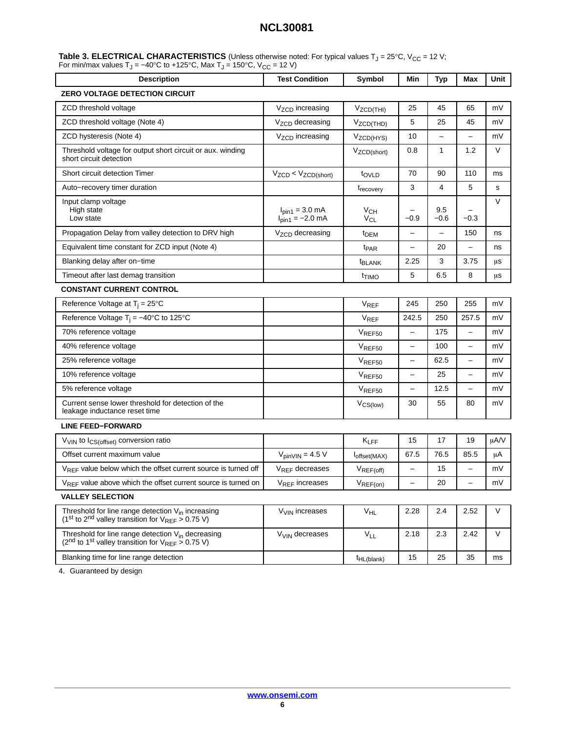| Table 3. ELECTRICAL CHARACTERISTICS (Unless otherwise noted: For typical values $T_J = 25^{\circ}C$ , $V_{CC} = 12 V$ ; |  |
|-------------------------------------------------------------------------------------------------------------------------|--|
| For min/max values T <sub>J</sub> = -40°C to +125°C, Max T <sub>J</sub> = 150°C, V <sub>CC</sub> = 12 V)                |  |

| <b>Description</b>                                                                                                                             | <b>Test Condition</b>                               | Symbol                      | Min                      | <b>Typ</b>    | <b>Max</b>               | Unit   |
|------------------------------------------------------------------------------------------------------------------------------------------------|-----------------------------------------------------|-----------------------------|--------------------------|---------------|--------------------------|--------|
| <b>ZERO VOLTAGE DETECTION CIRCUIT</b>                                                                                                          |                                                     |                             |                          |               |                          |        |
| ZCD threshold voltage                                                                                                                          | V <sub>ZCD</sub> increasing                         | V <sub>ZCD</sub> (THI)      | 25                       | 45            | 65                       | mV     |
| ZCD threshold voltage (Note 4)                                                                                                                 | V <sub>ZCD</sub> decreasing                         | $V_{ZCD(THD)}$              | 5                        | 25            | 45                       | mV     |
| ZCD hysteresis (Note 4)                                                                                                                        | V <sub>ZCD</sub> increasing                         | V <sub>ZCD(HYS)</sub>       | 10                       | $\equiv$      | $\overline{\phantom{0}}$ | mV     |
| Threshold voltage for output short circuit or aux. winding<br>short circuit detection                                                          |                                                     | V <sub>ZCD</sub> (short)    | 0.8                      | $\mathbf{1}$  | 1.2                      | V      |
| Short circuit detection Timer                                                                                                                  | $V_{ZCD}$ < $V_{ZCD(short)}$                        | tovLD                       | 70                       | 90            | 110                      | ms     |
| Auto-recovery timer duration                                                                                                                   |                                                     | t <sub>recovery</sub>       | 3                        | 4             | 5                        | s      |
| Input clamp voltage<br>High state<br>Low state                                                                                                 | $I_{pin1} = 3.0 \text{ mA}$<br>$I_{pin1} = -2.0$ mA | V <sub>CH</sub><br>$V_{CL}$ | $-0.9$                   | 9.5<br>$-0.6$ | $-0.3$                   | $\vee$ |
| Propagation Delay from valley detection to DRV high                                                                                            | V <sub>ZCD</sub> decreasing                         | t <sub>DEM</sub>            | $\overline{\phantom{0}}$ | $\equiv$      | 150                      | ns     |
| Equivalent time constant for ZCD input (Note 4)                                                                                                |                                                     | <sup>t</sup> PAR            | $\overline{\phantom{0}}$ | 20            | $\overline{\phantom{0}}$ | ns     |
| Blanking delay after on-time                                                                                                                   |                                                     | <b>E</b> BLANK              | 2.25                     | 3             | 3.75                     | μs     |
| Timeout after last demag transition                                                                                                            |                                                     | t <sub>TIMO</sub>           | 5                        | 6.5           | 8                        | μs     |
| <b>CONSTANT CURRENT CONTROL</b>                                                                                                                |                                                     |                             |                          |               |                          |        |
| Reference Voltage at $T_i = 25^{\circ}C$                                                                                                       |                                                     | $V_{REF}$                   | 245                      | 250           | 255                      | mV     |
| Reference Voltage T <sub>i</sub> = $-40^{\circ}$ C to 125°C                                                                                    |                                                     | <b>V<sub>REF</sub></b>      | 242.5                    | 250           | 257.5                    | mV     |
| 70% reference voltage                                                                                                                          |                                                     | $V_{REF50}$                 | $\overline{\phantom{0}}$ | 175           | $\overline{\phantom{0}}$ | mV     |
| 40% reference voltage                                                                                                                          |                                                     | $V_{REF50}$                 | $\overline{\phantom{0}}$ | 100           | -                        | mV     |
| 25% reference voltage                                                                                                                          |                                                     | $V_{REF50}$                 | -                        | 62.5          | -                        | mV     |
| 10% reference voltage                                                                                                                          |                                                     | $V_{REF50}$                 | —                        | 25            | $\overline{\phantom{0}}$ | mV     |
| 5% reference voltage                                                                                                                           |                                                     | $V_{REF50}$                 |                          | 12.5          | $\overline{\phantom{0}}$ | mV     |
| Current sense lower threshold for detection of the<br>leakage inductance reset time                                                            |                                                     | $V_{CS(low)}$               | 30                       | 55            | 80                       | mV     |
| <b>LINE FEED-FORWARD</b>                                                                                                                       |                                                     |                             |                          |               |                          |        |
| V <sub>VIN</sub> to I <sub>CS(offset)</sub> conversion ratio                                                                                   |                                                     | $K_{LFF}$                   | 15                       | 17            | 19                       | µA/V   |
| Offset current maximum value                                                                                                                   | $V_{pinVIN} = 4.5 V$                                | $I_{offset(MAX)}$           | 67.5                     | 76.5          | 85.5                     | μA     |
| V <sub>REF</sub> value below which the offset current source is turned off                                                                     | $V_{REF}$ decreases                                 | $V_{REF(off)}$              |                          | 15            | -                        | mV     |
| $V_{REF}$ value above which the offset current source is turned on                                                                             | V <sub>REF</sub> increases                          | $V_{REF(on)}$               | $\overline{\phantom{0}}$ | 20            | $\overline{\phantom{0}}$ | mV     |
| <b>VALLEY SELECTION</b>                                                                                                                        |                                                     |                             |                          |               |                          |        |
| Threshold for line range detection V <sub>in</sub> increasing<br>(1 <sup>st</sup> to 2 <sup>nd</sup> valley transition for $V_{REF}$ > 0.75 V) | V <sub>VIN</sub> increases                          | $V_{HL}$                    | 2.28                     | 2.4           | 2.52                     | V      |
| Threshold for line range detection V <sub>in</sub> decreasing<br>( $2nd$ to 1 <sup>st</sup> valley transition for $V_{REF} > 0.75$ V)          | V <sub>VIN</sub> decreases                          | <b>V<sub>LL</sub></b>       | 2.18                     | 2.3           | 2.42                     | $\vee$ |
| Blanking time for line range detection                                                                                                         |                                                     | <sup>t</sup> HL(blank)      | 15                       | 25            | 35                       | ms     |

[4](#page-6-0). Guaranteed by design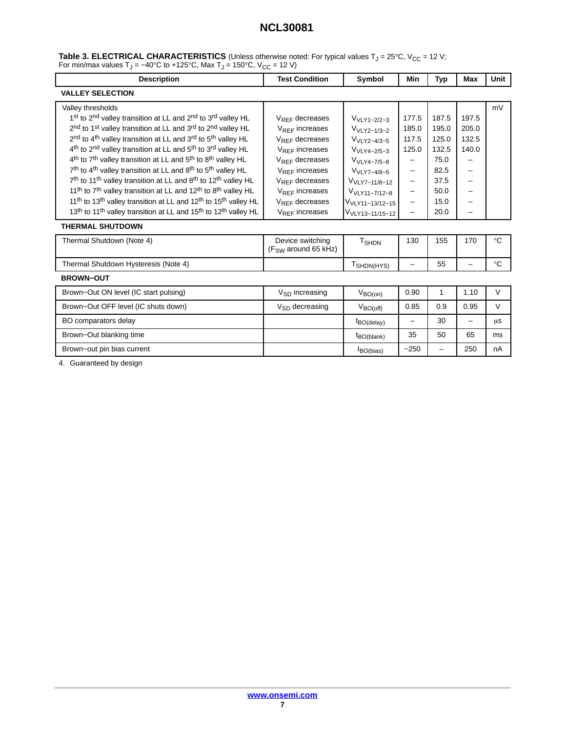<span id="page-6-0"></span>

|                                                                                                                    | Table 3. ELECTRICAL CHARACTERISTICS (Unless otherwise noted: For typical values $T_J = 25^{\circ}C$ , $V_{CC} = 12 V$ ; |
|--------------------------------------------------------------------------------------------------------------------|-------------------------------------------------------------------------------------------------------------------------|
| For min/max values T <sub>J</sub> = $-40^{\circ}$ C to +125°C, Max T <sub>J</sub> = 150°C, V <sub>CC</sub> = 12 V) |                                                                                                                         |

| <b>Description</b>                                                                                              | <b>Test Condition</b>                        | Symbol                      | Min                      | Typ   | <b>Max</b> | Unit        |
|-----------------------------------------------------------------------------------------------------------------|----------------------------------------------|-----------------------------|--------------------------|-------|------------|-------------|
| <b>VALLEY SELECTION</b>                                                                                         |                                              |                             |                          |       |            |             |
| Valley thresholds                                                                                               |                                              |                             |                          |       |            | mV          |
| 1st to 2nd valley transition at LL and 2nd to 3rd valley HL                                                     | $V_{RFF}$ decreases                          | $V_{VLY1-2/2-3}$            | 177.5                    | 187.5 | 197.5      |             |
| 2 <sup>nd</sup> to 1 <sup>st</sup> valley transition at LL and 3 <sup>rd</sup> to 2 <sup>nd</sup> valley HL     | $V_{RFF}$ increases                          | $VVLY2-1/3-2$               | 185.0                    | 195.0 | 205.0      |             |
| 2 <sup>nd</sup> to 4 <sup>th</sup> valley transition at LL and 3 <sup>rd</sup> to 5 <sup>th</sup> valley HL     | $V_{RFF}$ decreases                          | $VVLY2-4/3-5$               | 117.5                    | 125.0 | 132.5      |             |
| 4 <sup>th</sup> to 2 <sup>nd</sup> valley transition at LL and 5 <sup>th</sup> to 3 <sup>rd</sup> valley HL     | $V_{RFF}$ increases                          | $VVLY4-2/5-3$               | 125.0                    | 132.5 | 140.0      |             |
| 4 <sup>th</sup> to 7 <sup>th</sup> valley transition at LL and 5 <sup>th</sup> to 8 <sup>th</sup> valley HL     | $V_{RFF}$ decreases                          | V <sub>VLY4-7/5-8</sub>     |                          | 75.0  |            |             |
| 7 <sup>th</sup> to 4 <sup>th</sup> valley transition at LL and 8 <sup>th</sup> to 5 <sup>th</sup> valley HL     | $V_{RFF}$ increases                          | V <sub>VLY7-4/8-5</sub>     | -                        | 82.5  |            |             |
| 7 <sup>th</sup> to 11 <sup>th</sup> valley transition at LL and 8 <sup>th</sup> to 12 <sup>th</sup> valley HL   | $V_{RFF}$ decreases                          | V <sub>VLY7-11/8-12</sub>   | -                        | 37.5  |            |             |
| 11 <sup>th</sup> to 7 <sup>th</sup> valley transition at LL and 12 <sup>th</sup> to 8 <sup>th</sup> valley HL   | $V_{RFF}$ increases                          | V <sub>VLY11-7/12-8</sub>   | -                        | 50.0  |            |             |
| 11 <sup>th</sup> to 13 <sup>th</sup> valley transition at LL and 12 <sup>th</sup> to 15 <sup>th</sup> valley HL | $V_{RFF}$ decreases                          | V <sub>VLY11-13/12-15</sub> | -                        | 15.0  |            |             |
| 13 <sup>th</sup> to 11 <sup>th</sup> valley transition at LL and 15 <sup>th</sup> to 12 <sup>th</sup> valley HL | $V_{RFF}$ increases                          | V <sub>VLY13-11/15-12</sub> | -                        | 20.0  |            |             |
| <b>THERMAL SHUTDOWN</b>                                                                                         |                                              |                             |                          |       |            |             |
| Thermal Shutdown (Note 4)                                                                                       | Device switching<br>$(F_{SW}$ around 65 kHz) | T <sub>SHDN</sub>           | 130                      | 155   | 170        | $^{\circ}C$ |
| Thermal Shutdown Hysteresis (Note 4)                                                                            |                                              | T <sub>SHDN(HYS)</sub>      | $\overline{\phantom{0}}$ | 55    | -          | $^{\circ}C$ |
| <b>BROWN-OUT</b>                                                                                                |                                              |                             |                          |       |            |             |
| Brown-Out ON level (IC start pulsing)                                                                           | $V_{SD}$ increasing                          | $V_{BO(0n)}$                | 0.90                     | 1     | 1.10       | $\vee$      |
| Brown-Out OFF level (IC shuts down)                                                                             | $V_{SD}$ decreasing                          | $V_{BO(off)}$               | 0.85                     | 0.9   | 0.95       | $\vee$      |
| BO comparators delay                                                                                            |                                              | $t_{BO(delay)}$             | -                        | 30    | -          | μs          |
| Brown-Out blanking time                                                                                         |                                              | t <sub>BO</sub> (blank)     | 35                       | 50    | 65         | ms          |
| Brown-out pin bias current                                                                                      |                                              | $I_{BO(bias)}$              | $-250$                   |       | 250        | nA          |

4. Guaranteed by design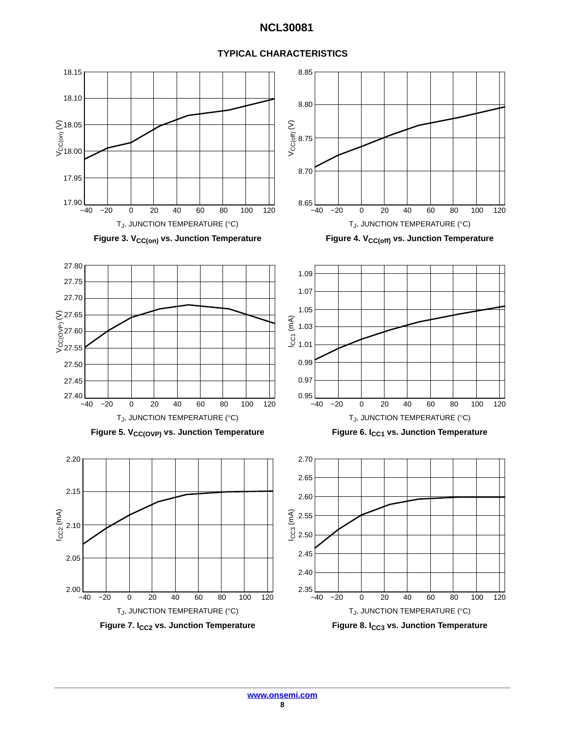#### Figure 3. V<sub>CC(on)</sub> vs. Junction Temperature Figure 4. V<sub>CC(off)</sub> vs. Junction Temperature  $T_J$ , JUNCTION TEMPERATURE (°C)  $T_J$ , JUNCTION TEMPERATURE (°C) −40 −20 0 20 40 60 80 100 17.90<br><sup>-40</sup>– 17.95 18.00 S 18.05<br>ີ້ ອິ<br>S 18.00 18.10 18.15  $8.65$   $-40$ 8.70 8.75 8.80 8.85 Figure 5. V<sub>CC(OVP)</sub> vs. Junction Temperature Figure 6. I<sub>CC1</sub> vs. Junction Temperature  $T_{\rm J}$ , JUNCTION TEMPERATURE (°C)  $T_{\rm J}$ , JUNCTION TEMPERATURE (°C) 27.40<br>-40  $\frac{0}{2}$ 27.55  $27.60$  $\sum$ 27.65 27.70 27.75 27.80  $0.95$   $-40$ 0.97 0.99 1.01 ଙ୍କ<br>\_ 1.03<br>\_ 1.01 1.05 1.07 1.09  $T_J$ , JUNCTION TEMPERATURE (°C)  $T_J$ , JUNCTION TEMPERATURE (°C)  $2.00$   $-40$ 2.05 2.10 2.15 2.20  $2.35$   $-40$ 2.40 2.50  $\begin{array}{c} \widehat{\mathcal{E}} \in \mathbb{Z} \ 2.55 \ 0.50 \end{array}$ 2.60 2.65 2.70 Vcc<sub>(off)</sub> (V) Vcc(ovP) (V) ICC2 (mA) 120 100 −40 120 −20 0 20 40 60 80 −40 −20 0 20 40 60 80 100 120 −40 −20 0 20 40 60 80 100 120 −40 −20 0 20 40 60 80 100 120 −40 −20 0 20 40 60 80 100 120 2.45 27.50 27.45

#### **TYPICAL CHARACTERISTICS**

Figure 7. I<sub>CC2</sub> vs. Junction Temperature **Figure 8. ICC3** vs. Junction Temperature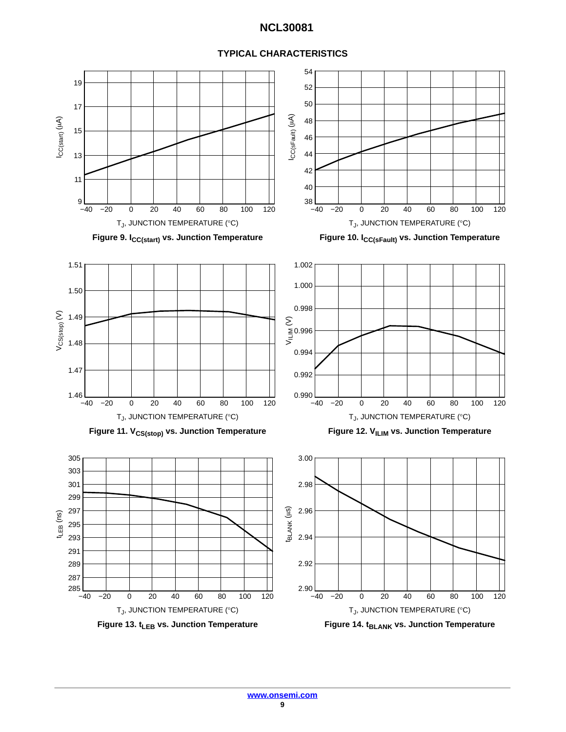

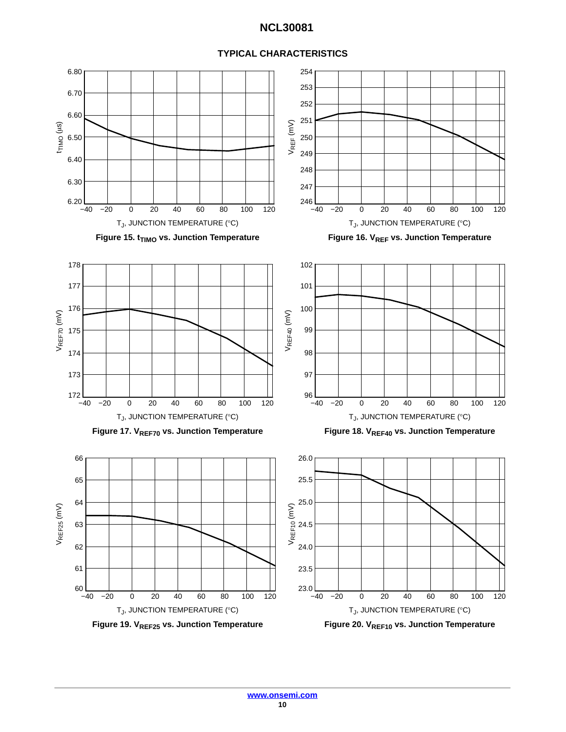

#### **TYPICAL CHARACTERISTICS**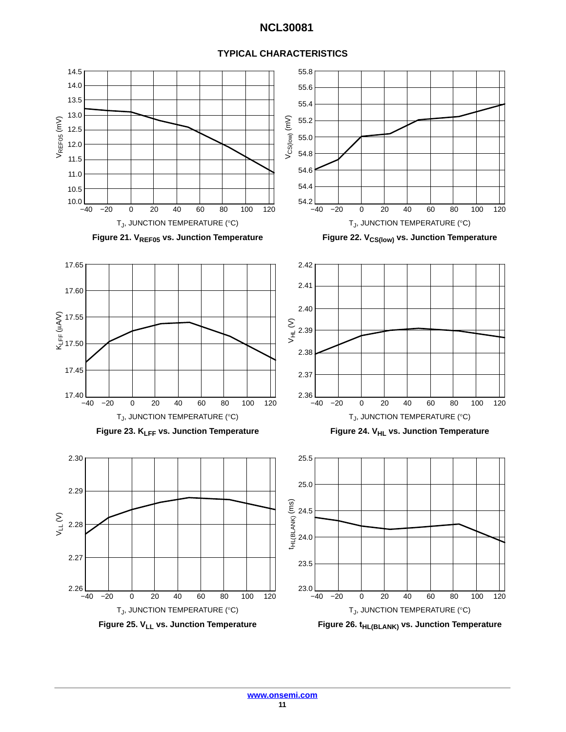![](_page_10_Figure_1.jpeg)

#### **TYPICAL CHARACTERISTICS**

Figure 25. V<sub>LL</sub> vs. Junction Temperature **Figure 26. t<sub>HL(BLANK)</sub> vs. Junction Temperature**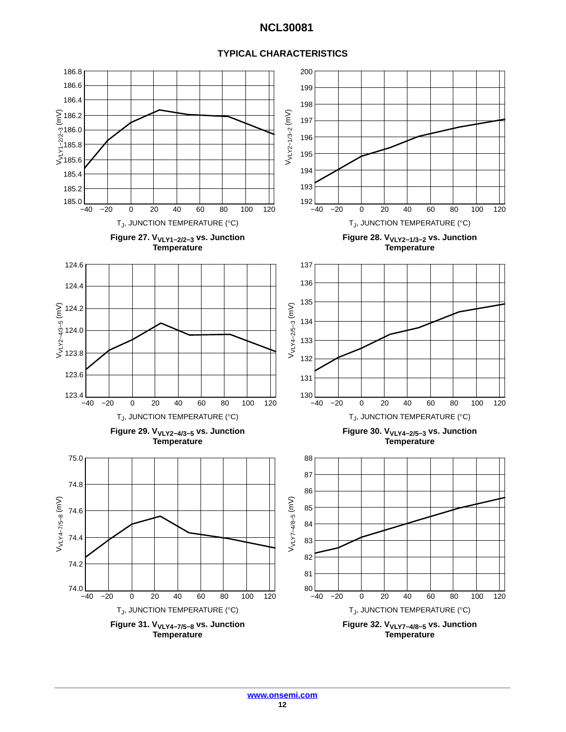### **TYPICAL CHARACTERISTICS**

![](_page_11_Figure_2.jpeg)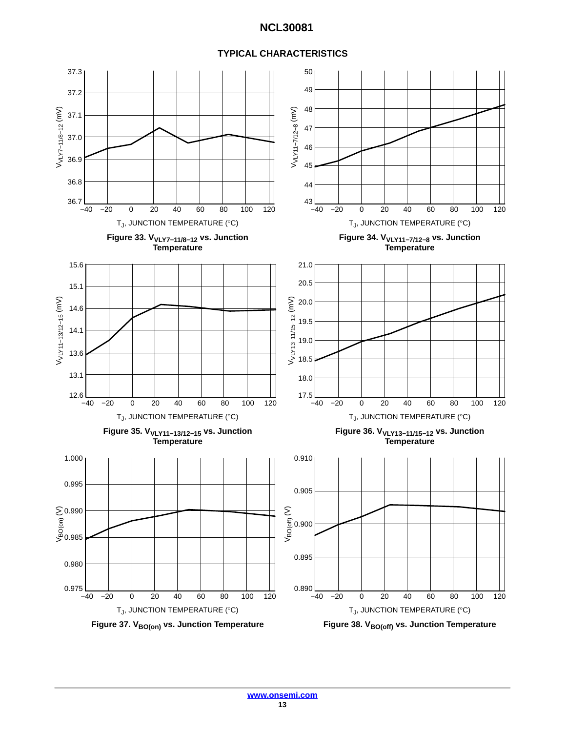![](_page_12_Figure_1.jpeg)

![](_page_12_Figure_2.jpeg)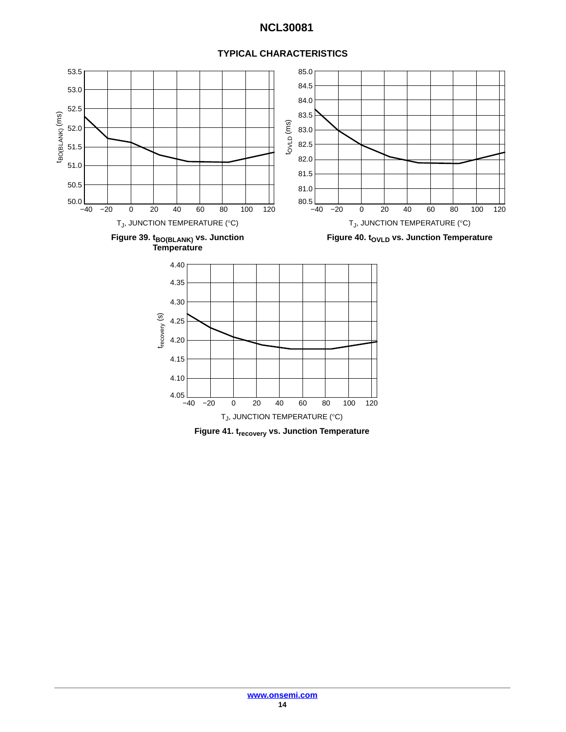![](_page_13_Figure_1.jpeg)

### **TYPICAL CHARACTERISTICS**

**Figure 41. trecovery vs. Junction Temperature**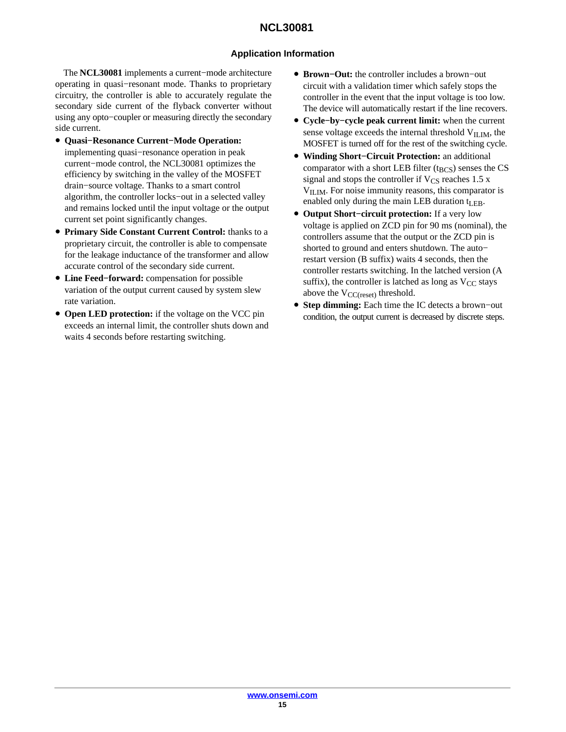### **Application Information**

The **NCL30081** implements a current−mode architecture operating in quasi−resonant mode. Thanks to proprietary circuitry, the controller is able to accurately regulate the secondary side current of the flyback converter without using any opto−coupler or measuring directly the secondary side current.

- **Quasi−Resonance Current−Mode Operation:** implementing quasi−resonance operation in peak current−mode control, the NCL30081 optimizes the efficiency by switching in the valley of the MOSFET drain−source voltage. Thanks to a smart control algorithm, the controller locks−out in a selected valley and remains locked until the input voltage or the output current set point significantly changes.
- **Primary Side Constant Current Control:** thanks to a proprietary circuit, the controller is able to compensate for the leakage inductance of the transformer and allow accurate control of the secondary side current.
- **Line Feed−forward:** compensation for possible variation of the output current caused by system slew rate variation.
- **Open LED protection:** if the voltage on the VCC pin exceeds an internal limit, the controller shuts down and waits 4 seconds before restarting switching.
- **Brown−Out:** the controller includes a brown−out circuit with a validation timer which safely stops the controller in the event that the input voltage is too low. The device will automatically restart if the line recovers.
- **Cycle−by−cycle peak current limit:** when the current sense voltage exceeds the internal threshold  $V<sub>ILIM</sub>$ , the MOSFET is turned off for the rest of the switching cycle.
- **Winding Short−Circuit Protection:** an additional comparator with a short LEB filter  $(t_{BCS})$  senses the CS signal and stops the controller if  $V_{CS}$  reaches 1.5 x V<sub>ILIM</sub>. For noise immunity reasons, this comparator is enabled only during the main LEB duration  $t_{\text{LEB}}$ .
- **Output Short−circuit protection:** If a very low voltage is applied on ZCD pin for 90 ms (nominal), the controllers assume that the output or the ZCD pin is shorted to ground and enters shutdown. The auto− restart version (B suffix) waits 4 seconds, then the controller restarts switching. In the latched version (A suffix), the controller is latched as long as  $V_{CC}$  stays above the  $V_{\text{CC}(\text{reset})}$  threshold.
- **Step dimming:** Each time the IC detects a brown−out condition, the output current is decreased by discrete steps.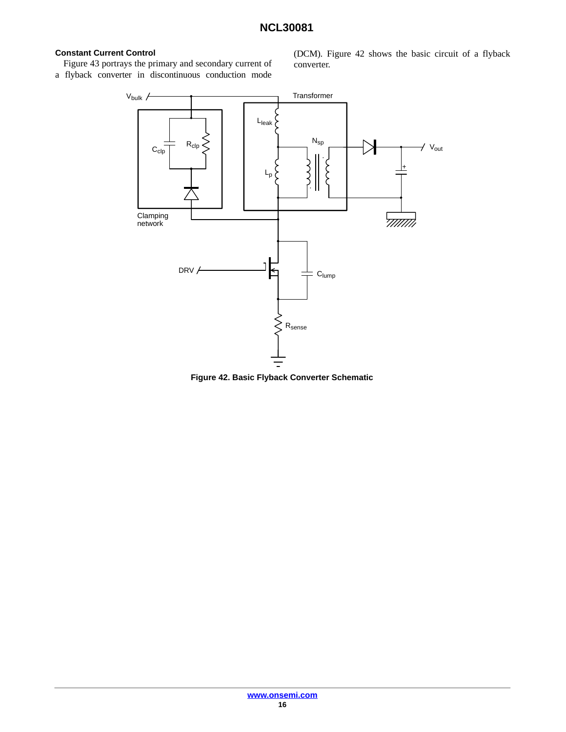### **Constant Current Control**

Figure [43](#page-16-0) portrays the primary and secondary current of a flyback converter in discontinuous conduction mode

(DCM). Figure 42 shows the basic circuit of a flyback converter.

![](_page_15_Figure_4.jpeg)

**Figure 42. Basic Flyback Converter Schematic**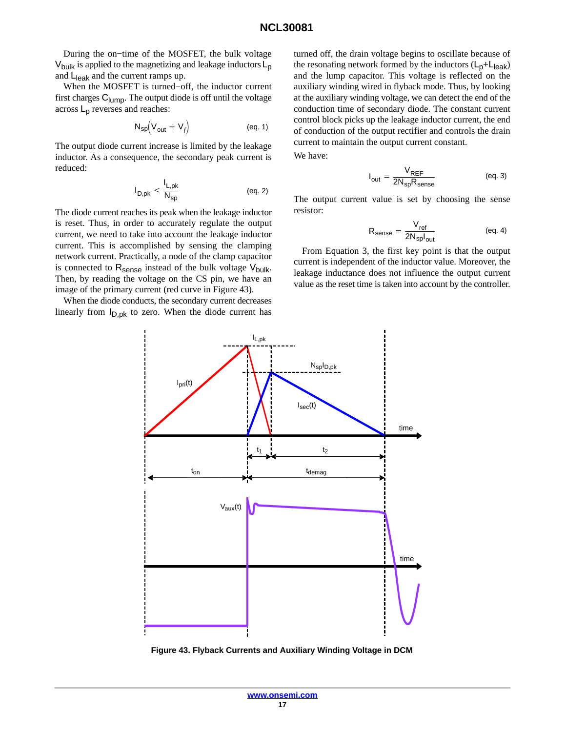<span id="page-16-0"></span>During the on−time of the MOSFET, the bulk voltage  $V_{\text{bulk}}$  is applied to the magnetizing and leakage inductors  $L_{\text{p}}$ and  $L_{\text{leak}}$  and the current ramps up.

When the MOSFET is turned−off, the inductor current first charges C<sub>lump</sub>. The output diode is off until the voltage across  $L_p$  reverses and reaches:

$$
N_{sp}(V_{out} + V_f)
$$
 (eq. 1)

The output diode current increase is limited by the leakage inductor. As a consequence, the secondary peak current is reduced:

$$
I_{D,pk} < \frac{I_{L,pk}}{N_{sp}} \tag{eq.2}
$$

The diode current reaches its peak when the leakage inductor is reset. Thus, in order to accurately regulate the output current, we need to take into account the leakage inductor current. This is accomplished by sensing the clamping network current. Practically, a node of the clamp capacitor is connected to  $R_{\text{sense}}$  instead of the bulk voltage  $V_{\text{bulk}}$ . Then, by reading the voltage on the CS pin, we have an image of the primary current (red curve in Figure 43).

When the diode conducts, the secondary current decreases linearly from  $I_{D,pk}$  to zero. When the diode current has

turned off, the drain voltage begins to oscillate because of the resonating network formed by the inductors  $(L_p + L_{leak})$ and the lump capacitor. This voltage is reflected on the auxiliary winding wired in flyback mode. Thus, by looking at the auxiliary winding voltage, we can detect the end of the conduction time of secondary diode. The constant current control block picks up the leakage inductor current, the end of conduction of the output rectifier and controls the drain current to maintain the output current constant.

We have:

$$
I_{\text{out}} = \frac{V_{\text{REF}}}{2N_{\text{sp}}R_{\text{sense}}} \tag{eq.3}
$$

The output current value is set by choosing the sense resistor:

$$
R_{\text{sense}} = \frac{V_{\text{ref}}}{2N_{\text{sp}}I_{\text{out}}} \tag{eq. 4}
$$

From Equation 3, the first key point is that the output current is independent of the inductor value. Moreover, the leakage inductance does not influence the output current value as the reset time is taken into account by the controller.

![](_page_16_Figure_14.jpeg)

**Figure 43. Flyback Currents and Auxiliary Winding Voltage in DCM**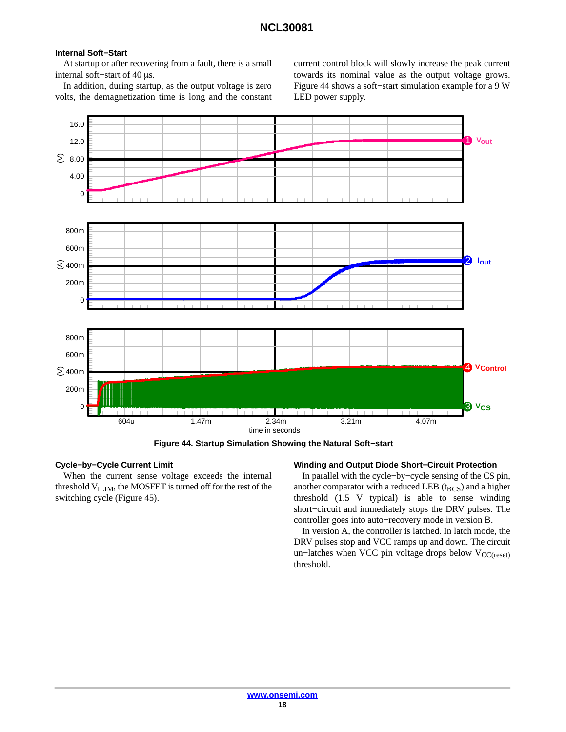#### **Internal Soft−Start**

At startup or after recovering from a fault, there is a small internal soft–start of 40 μs.

In addition, during startup, as the output voltage is zero volts, the demagnetization time is long and the constant

current control block will slowly increase the peak current towards its nominal value as the output voltage grows. Figure 44 shows a soft−start simulation example for a 9 W LED power supply.

![](_page_17_Figure_5.jpeg)

**Figure 44. Startup Simulation Showing the Natural Soft−start**

#### **Cycle−by−Cycle Current Limit**

When the current sense voltage exceeds the internal threshold  $V<sub>ILIM</sub>$ , the MOSFET is turned off for the rest of the switching cycle (Figure [45](#page-18-0)).

#### **Winding and Output Diode Short−Circuit Protection**

In parallel with the cycle−by−cycle sensing of the CS pin, another comparator with a reduced LEB ( $t_{BCS}$ ) and a higher threshold (1.5 V typical) is able to sense winding short−circuit and immediately stops the DRV pulses. The controller goes into auto−recovery mode in version B.

In version A, the controller is latched. In latch mode, the DRV pulses stop and VCC ramps up and down. The circuit un–latches when VCC pin voltage drops below  $V_{CC(reset)}$ threshold.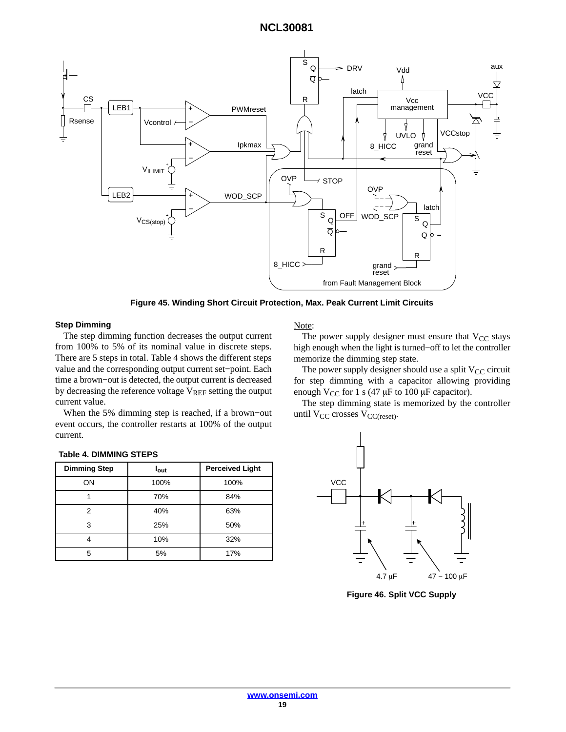<span id="page-18-0"></span>![](_page_18_Figure_1.jpeg)

**Figure 45. Winding Short Circuit Protection, Max. Peak Current Limit Circuits**

#### **Step Dimming**

The step dimming fund from  $100\%$  to 5% of its There are 5 steps in total. value and the correspond time a brown−out is detec by decreasing the reference voltage  $\rm V_{REF}$  setting the output current value.

When the 5% dimming step is reached, if a brown−out event occurs, the controller restarts at 100% of the output current.

**Dimming Step I I**<sub>out</sub> **Perceived Light** ON 100% 100% 1 70% 84% 2 40% 63% 3 25% 50% 4 10% 32% 5 5% 17%

| VCC |   |             |   |                  |  |
|-----|---|-------------|---|------------------|--|
|     | + |             | + |                  |  |
|     |   | $4.7 \mu F$ |   | $47 - 100 \mu F$ |  |

 $\mathbf{r}$ 

**Table 4. DIMMING STEPS**

**Figure 46. Split VCC Supply**

|                                      | from Fault Management Block                                               |
|--------------------------------------|---------------------------------------------------------------------------|
|                                      | re 45. Winding Short Circuit Protection, Max. Peak Current Limit Circuits |
|                                      | Note:                                                                     |
| ction decreases the output current   | The power supply designer must ensure that $V_{CC}$ stays                 |
| nominal value in discrete steps.     | high enough when the light is turned-off to let the controller            |
| Table 4 shows the different steps    | memorize the dimming step state.                                          |
| ing output current set-point. Each   | The power supply designer should use a split $V_{CC}$ circuit             |
| ted, the output current is decreased | for step dimming with a capacitor allowing providing                      |
|                                      | $1.77$ $0.4$ $1.47$ $1.400$ $1.400$                                       |

use a split V<sub>CC</sub> circuit allowing providing enough  $V_{CC}$  for 1 s (47  $\mu$ F to 100  $\mu$ F capacitor).

The step dimming state is memorized by the controller until  $V_{CC}$  crosses  $V_{CC(reset)}$ .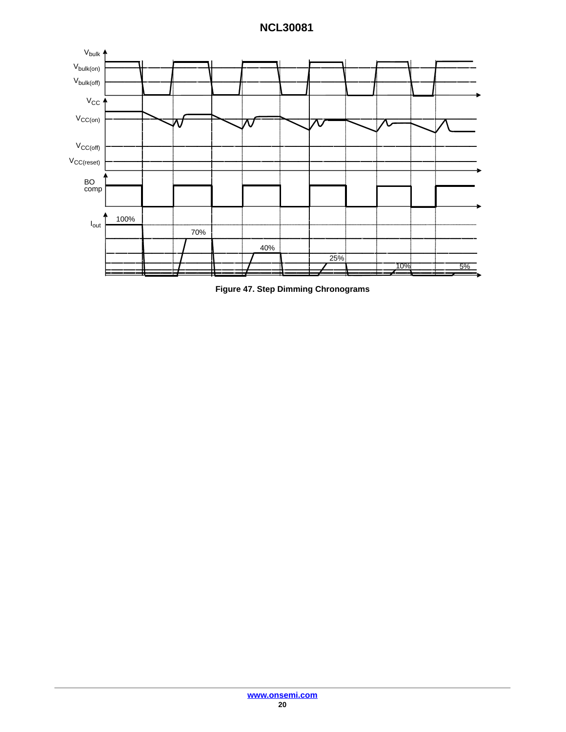![](_page_19_Figure_1.jpeg)

**Figure 47. Step Dimming Chronograms**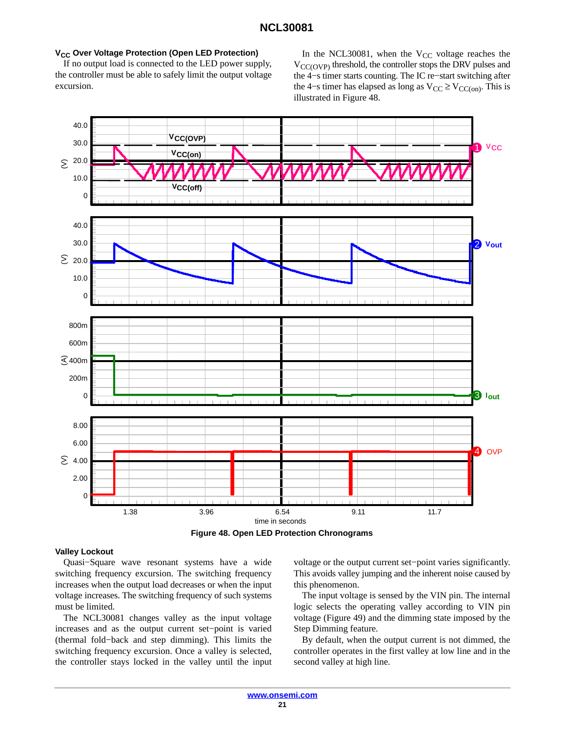#### **V<sub>CC</sub> Over Voltage Protection (Open LED Protection)**

If no output load is connected to the LED power supply, the controller must be able to safely limit the output voltage excursion.

In the NCL30081, when the  $V_{CC}$  voltage reaches the  $V_{\text{CC(OVP)}}$  threshold, the controller stops the DRV pulses and the 4−s timer starts counting. The IC re−start switching after the 4–s timer has elapsed as long as  $V_{CC} \geq V_{CC(on)}$ . This is illustrated in Figure 48.

![](_page_20_Figure_4.jpeg)

**Figure 48. Open LED Protection Chronograms**

#### **Valley Lockout**

Quasi−Square wave resonant systems have a wide switching frequency excursion. The switching frequency increases when the output load decreases or when the input voltage increases. The switching frequency of such systems must be limited.

The NCL30081 changes valley as the input voltage increases and as the output current set−point is varied (thermal fold−back and step dimming). This limits the switching frequency excursion. Once a valley is selected, the controller stays locked in the valley until the input voltage or the output current set−point varies significantly. This avoids valley jumping and the inherent noise caused by this phenomenon.

The input voltage is sensed by the VIN pin. The internal logic selects the operating valley according to VIN pin voltage (Figure [49](#page-21-0)) and the dimming state imposed by the Step Dimming feature.

By default, when the output current is not dimmed, the controller operates in the first valley at low line and in the second valley at high line.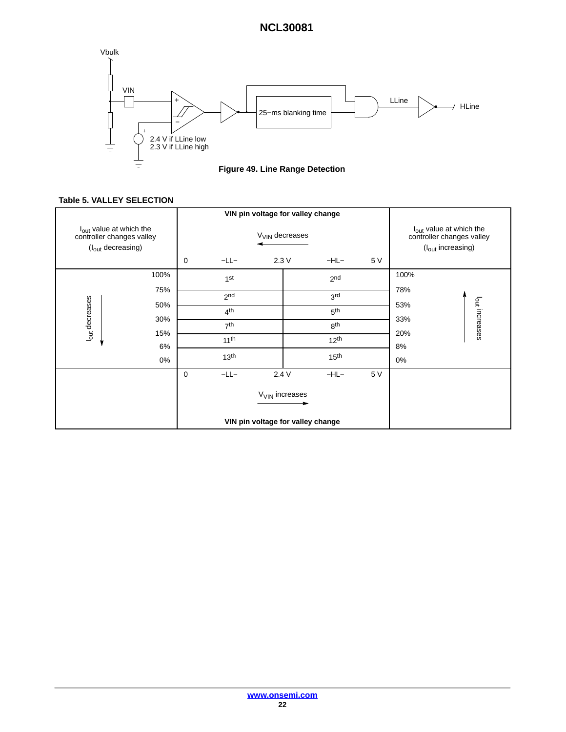<span id="page-21-0"></span>![](_page_21_Figure_1.jpeg)

**Figure 49. Line Range Detection**

### **Table 5. VALLEY SELECTION**

|                                                                                                   |                                              |                            |                  | VIN pin voltage for valley change |                  |            |                                                                                                   |  |
|---------------------------------------------------------------------------------------------------|----------------------------------------------|----------------------------|------------------|-----------------------------------|------------------|------------|---------------------------------------------------------------------------------------------------|--|
| l <sub>out</sub> value at which the<br>controller changes valley<br>(I <sub>out</sub> decreasing) |                                              | V <sub>VIN</sub> decreases |                  |                                   |                  |            | l <sub>out</sub> value at which the<br>controller changes valley<br>(I <sub>out</sub> increasing) |  |
|                                                                                                   |                                              | 0                          | $-LL-$           | 2.3V                              | $-HL-$           | 5 V        |                                                                                                   |  |
| l <sub>out</sub> decreases                                                                        | 100%<br>75%<br>50%<br>30%<br>15%<br>6%<br>0% |                            | 1st              |                                   | 2 <sub>nd</sub>  |            | 100%<br>78%<br>l <sub>out</sub> increases<br>53%                                                  |  |
|                                                                                                   |                                              |                            | 2 <sub>nd</sub>  |                                   | 3 <sup>rd</sup>  |            |                                                                                                   |  |
|                                                                                                   |                                              |                            | 4 <sup>th</sup>  |                                   | 5 <sup>th</sup>  |            |                                                                                                   |  |
|                                                                                                   |                                              | 7 <sup>th</sup>            |                  | 8 <sup>th</sup>                   |                  | 33%<br>20% |                                                                                                   |  |
|                                                                                                   |                                              |                            | 11 <sup>th</sup> |                                   | 12 <sup>th</sup> |            | 8%<br>0%                                                                                          |  |
|                                                                                                   |                                              |                            | 13 <sup>th</sup> |                                   | 15 <sup>th</sup> |            |                                                                                                   |  |
|                                                                                                   |                                              | $\mathbf 0$                | $-LL-$           | 2.4V                              | $-HL-$           | 5 V        |                                                                                                   |  |
|                                                                                                   |                                              | V <sub>VIN</sub> increases |                  |                                   |                  |            |                                                                                                   |  |
|                                                                                                   |                                              |                            |                  | VIN pin voltage for valley change |                  |            |                                                                                                   |  |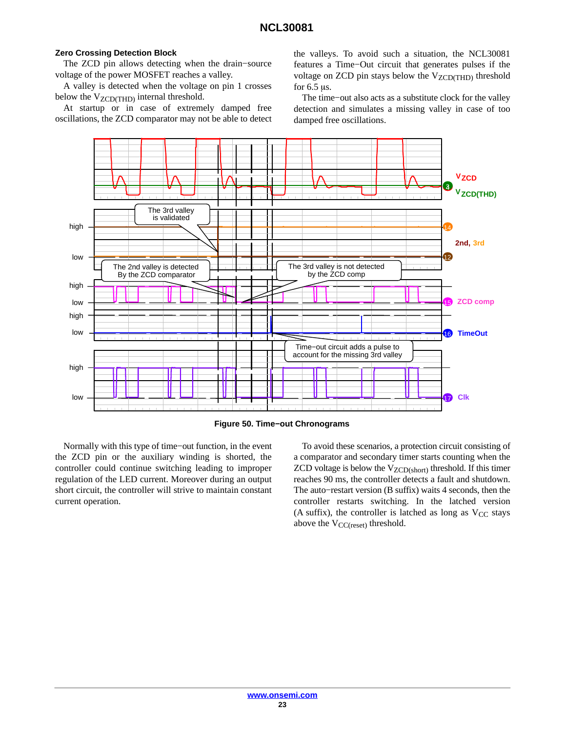#### **Zero Crossing Detection Block**

The ZCD pin allows detecting when the drain−source voltage of the power MOSFET reaches a valley.

A valley is detected when the voltage on pin 1 crosses below the  $V_{ZCD(THD)}$  internal threshold.

At startup or in case of extremely damped free oscillations, the ZCD comparator may not be able to detect the valleys. To avoid such a situation, the NCL30081 features a Time−Out circuit that generates pulses if the voltage on ZCD pin stays below the  $V_{ZCD(THD)}$  threshold for  $6.5 \mu s$ .

The time−out also acts as a substitute clock for the valley detection and simulates a missing valley in case of too damped free oscillations.

![](_page_22_Figure_7.jpeg)

**Figure 50. Time−out Chronograms**

Normally with this type of time−out function, in the event the ZCD pin or the auxiliary winding is shorted, the controller could continue switching leading to improper regulation of the LED current. Moreover during an output short circuit, the controller will strive to maintain constant current operation.

To avoid these scenarios, a protection circuit consisting of a comparator and secondary timer starts counting when the ZCD voltage is below the  $V_{ZCD(short)}$  threshold. If this timer reaches 90 ms, the controller detects a fault and shutdown. The auto−restart version (B suffix) waits 4 seconds, then the controller restarts switching. In the latched version (A suffix), the controller is latched as long as  $V_{CC}$  stays above the  $V_{CC(reset)}$  threshold.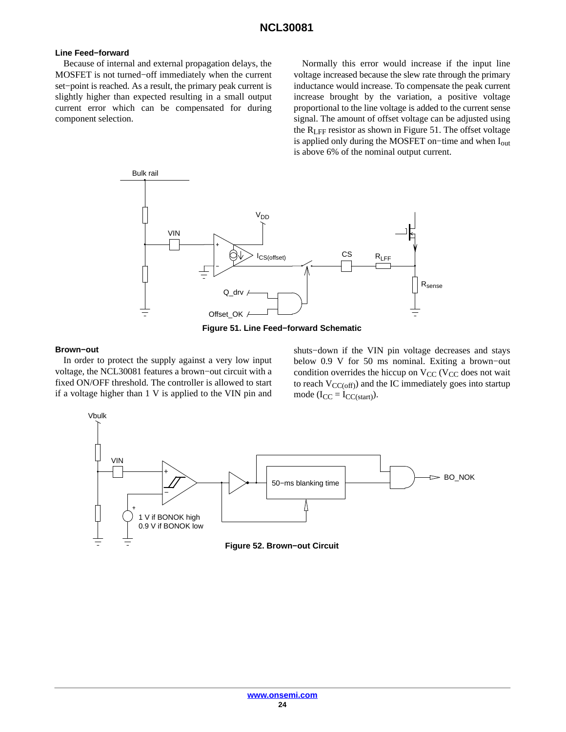#### **Line Feed−forward**

Because of internal and external propagation delays, the MOSFET is not turned−off immediately when the current set−point is reached. As a result, the primary peak current is slightly higher than expected resulting in a small output current error which can be compensated for during component selection.

Normally this error would increase if the input line voltage increased because the slew rate through the primary inductance would increase. To compensate the peak current increase brought by the variation, a positive voltage proportional to the line voltage is added to the current sense signal. The amount of offset voltage can be adjusted using the RLFF resistor as shown in Figure 51. The offset voltage is applied only during the MOSFET on−time and when Iout is above 6% of the nominal output current.

![](_page_23_Figure_4.jpeg)

**Figure 51. Line Feed−forward Schematic**

#### **Brown−out**

In order to protect the supply against a very low input voltage, the NCL30081 features a brown−out circuit with a fixed ON/OFF threshold. The controller is allowed to start if a voltage higher than 1 V is applied to the VIN pin and shuts−down if the VIN pin voltage decreases and stays below 0.9 V for 50 ms nominal. Exiting a brown−out condition overrides the hiccup on  $V_{CC}$  (V<sub>CC</sub> does not wait to reach  $V_{CC(off)}$ ) and the IC immediately goes into startup mode  $(I_{CC} = I_{CC(stat)}).$ 

![](_page_23_Figure_9.jpeg)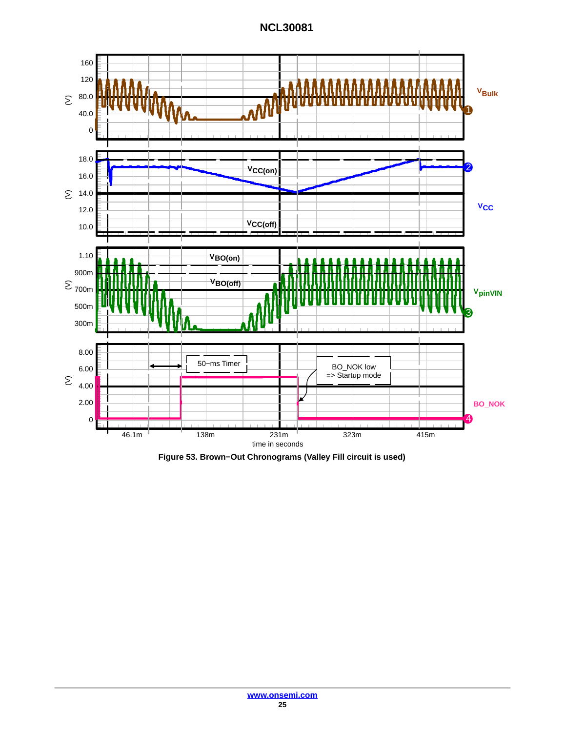![](_page_24_Figure_1.jpeg)

**Figure 53. Brown−Out Chronograms (Valley Fill circuit is used)**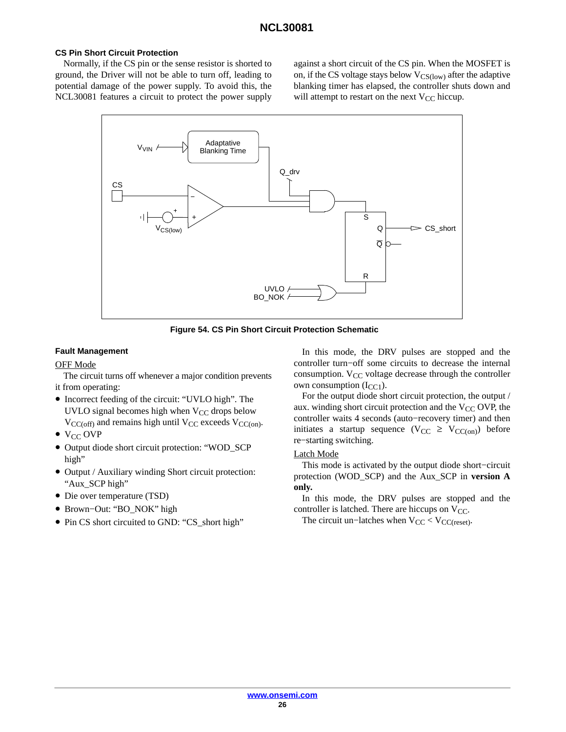#### **CS Pin Short Circuit Protection**

Normally, if the CS pin or the sense resistor is shorted to ground, the Driver will not be able to turn off, leading to potential damage of the power supply. To avoid this, the NCL30081 features a circuit to protect the power supply against a short circuit of the CS pin. When the MOSFET is on, if the CS voltage stays below  $V_{CS(low)}$  after the adaptive blanking timer has elapsed, the controller shuts down and will attempt to restart on the next  $V_{CC}$  hiccup.

![](_page_25_Figure_4.jpeg)

**Figure 54. CS Pin Short Circuit Protection Schematic**

#### **Fault Management**

#### OFF Mode

The circuit turns off whenever a major condition prevents it from operating:

- Incorrect feeding of the circuit: "UVLO high". The UVLO signal becomes high when  $V_{CC}$  drops below  $V_{CC(off)}$  and remains high until  $V_{CC}$  exceeds  $V_{CC(on)}$ .
- $\bullet$  V<sub>CC</sub> OVP
- Output diode short circuit protection: "WOD\_SCP high"
- Output / Auxiliary winding Short circuit protection: "Aux\_SCP high"
- Die over temperature (TSD)
- Brown−Out: "BO\_NOK" high
- Pin CS short circuited to GND: "CS\_short high"

In this mode, the DRV pulses are stopped and the controller turn−off some circuits to decrease the internal consumption.  $V_{CC}$  voltage decrease through the controller own consumption  $(I_{CC1})$ .

For the output diode short circuit protection, the output / aux. winding short circuit protection and the  $V_{CC}$  OVP, the controller waits 4 seconds (auto−recovery timer) and then initiates a startup sequence ( $V_{CC} \ge V_{CC(on)}$ ) before re−starting switching.

#### Latch Mode

This mode is activated by the output diode short−circuit protection (WOD\_SCP) and the Aux\_SCP in **version A only.**

In this mode, the DRV pulses are stopped and the controller is latched. There are hiccups on  $V_{CC}$ .

The circuit un–latches when  $V_{CC}$  < V<sub>CC(reset)</sub>.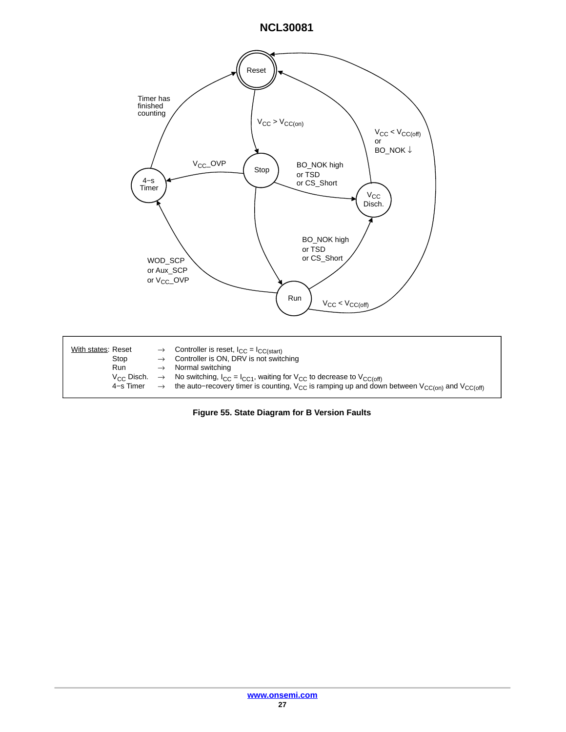![](_page_26_Figure_1.jpeg)

**Figure 55. State Diagram for B Version Faults**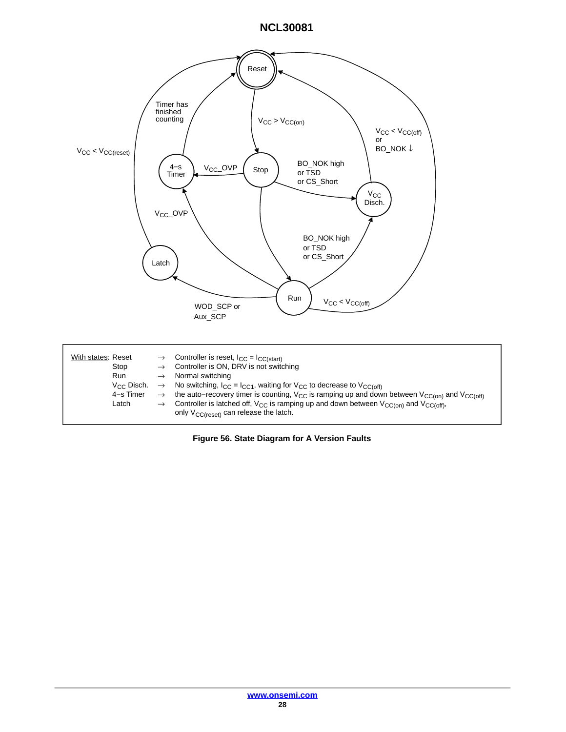![](_page_27_Figure_1.jpeg)

**Figure 56. State Diagram for A Version Faults**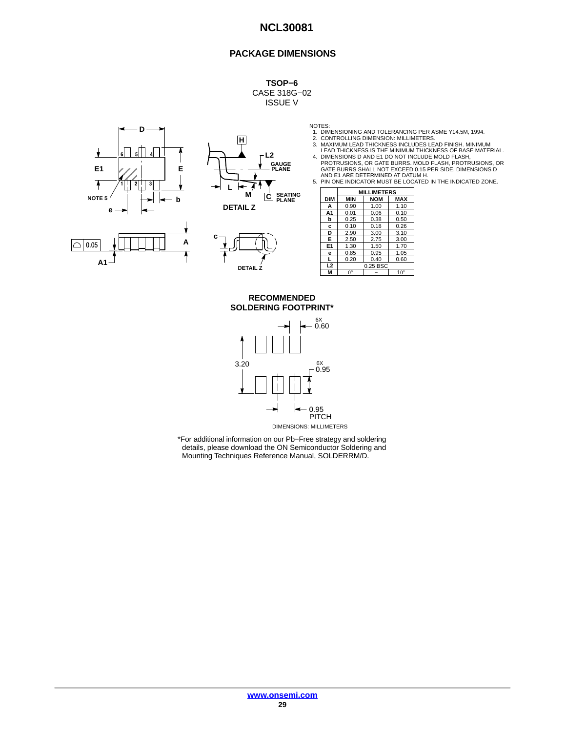#### **PACKAGE DIMENSIONS**

**TSOP−6** CASE 318G−02 ISSUE V

![](_page_28_Figure_3.jpeg)

![](_page_28_Figure_4.jpeg)

![](_page_28_Figure_5.jpeg)

NOTES: 1. DIMENSIONING AND TOLERANCING PER ASME Y14.5M, 1994. 2. CONTROLLING DIMENSION: MILLIMETERS.

- 
- 
- 3. MAXIMUM LEAD THICKNESS INCLUDES LEAD FINISH. MINIMUM<br>LEAD THICKNESS IS THE MINIMUM THICKNESS OF BASE MATERIAL.<br>4. DIMENSIONS D AND E1 DO NOT INCLUDE MOLD FLASH,<br>PROTRUSIONS, OR GATE BURRS. MOLD FLASH, PROTRUSIONS, OR<br>GA
- AND E1 ARE DETERMINED AT DATUM H. 5. PIN ONE INDICATOR MUST BE LOCATED IN THE INDICATED ZONE.

|                | <b>MILLIMETERS</b> |            |              |  |  |  |  |
|----------------|--------------------|------------|--------------|--|--|--|--|
| <b>DIM</b>     | <b>MIN</b>         | <b>NOM</b> | <b>MAX</b>   |  |  |  |  |
| A              | 0.90               | 1.00       | 1.10         |  |  |  |  |
| A1             | 0.01               | 0.06       | 0.10         |  |  |  |  |
| b              | 0.25               | 0.38       | 0.50         |  |  |  |  |
| c              | 0.10               | 0.18       | 0.26         |  |  |  |  |
| D              | 2.90               | 3.00       | 3.10         |  |  |  |  |
| Е              | 2.50               | 2.75       | 3.00         |  |  |  |  |
| E <sub>1</sub> | 1.30               | 1.50       | 1.70         |  |  |  |  |
| е              | 0.85               | 0.95       | 1.05         |  |  |  |  |
|                | 0.20               | 0.40       | 0.60         |  |  |  |  |
| L <sub>2</sub> | 0.25 BSC           |            |              |  |  |  |  |
| м              | $0^{\circ}$        |            | $10^{\circ}$ |  |  |  |  |

**SOLDERING FOOTPRINT\* RECOMMENDED**

![](_page_28_Figure_13.jpeg)

DIMENSIONS: MILLIMETERS

\*For additional information on our Pb−Free strategy and soldering details, please download the ON Semiconductor Soldering and Mounting Techniques Reference Manual, SOLDERRM/D.